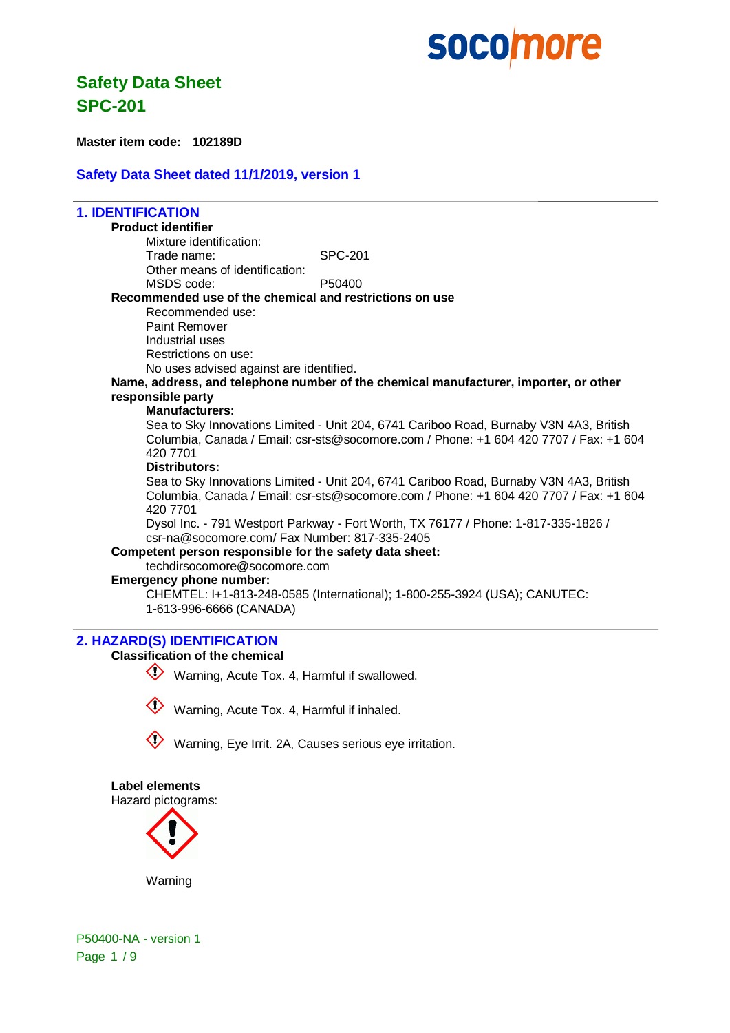

**Master item code: 102189D**

### **Safety Data Sheet dated 11/1/2019, version 1**

### **1. IDENTIFICATION Product identifier** Mixture identification: Trade name: SPC-201 Other means of identification: MSDS code: P50400 **Recommended use of the chemical and restrictions on use** Recommended use: Paint Remover Industrial uses Restrictions on use: No uses advised against are identified. **Name, address, and telephone number of the chemical manufacturer, importer, or other responsible party Manufacturers:** Sea to Sky Innovations Limited - Unit 204, 6741 Cariboo Road, Burnaby V3N 4A3, British Columbia, Canada / Email: csr-sts@socomore.com / Phone: +1 604 420 7707 / Fax: +1 604 420 7701 **Distributors:** Sea to Sky Innovations Limited - Unit 204, 6741 Cariboo Road, Burnaby V3N 4A3, British Columbia, Canada / Email: csr-sts@socomore.com / Phone: +1 604 420 7707 / Fax: +1 604 420 7701 Dysol Inc. - 791 Westport Parkway - Fort Worth, TX 76177 / Phone: 1-817-335-1826 / csr-na@socomore.com/ Fax Number: 817-335-2405 **Competent person responsible for the safety data sheet:** techdirsocomore@socomore.com

### **Emergency phone number:**

CHEMTEL: I+1-813-248-0585 (International); 1-800-255-3924 (USA); CANUTEC: 1-613-996-6666 (CANADA)

### **2. HAZARD(S) IDENTIFICATION**

### **Classification of the chemical**

Warning, Acute Tox. 4, Harmful if swallowed.



Warning, Acute Tox. 4, Harmful if inhaled.



Warning, Eye Irrit. 2A, Causes serious eye irritation.

### **Label elements**

Hazard pictograms:



Warning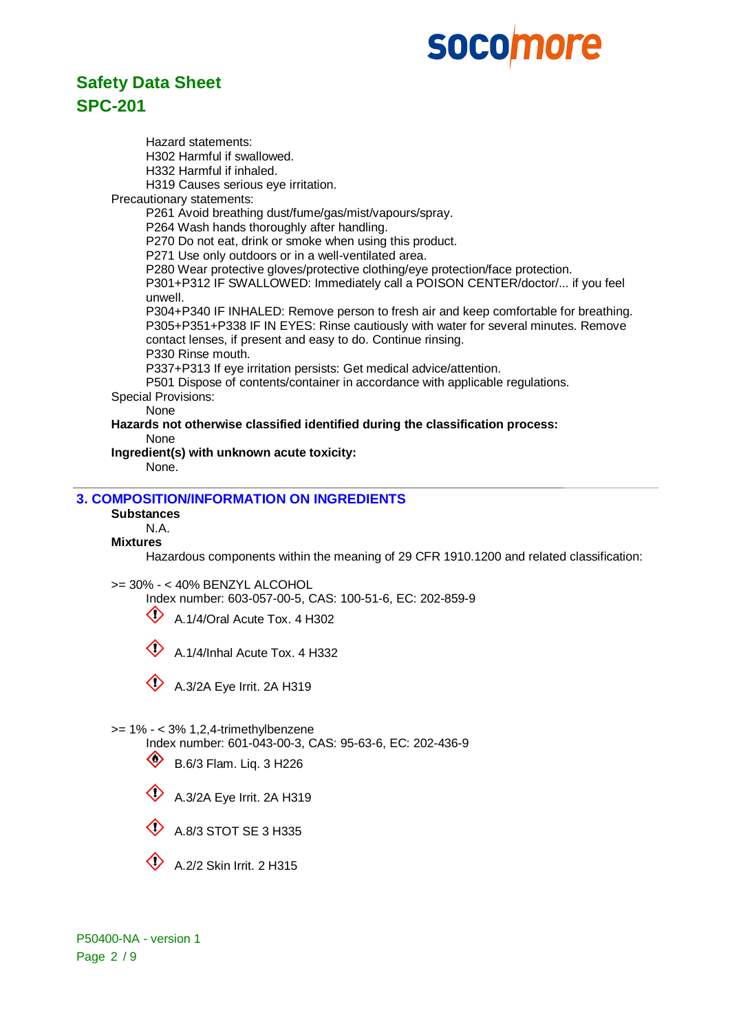# **Safety Data Sheet SPC-201**

Hazard statements: H302 Harmful if swallowed. H332 Harmful if inhaled. H319 Causes serious eye irritation. Precautionary statements: P261 Avoid breathing dust/fume/gas/mist/vapours/spray. P264 Wash hands thoroughly after handling. P270 Do not eat, drink or smoke when using this product. P271 Use only outdoors or in a well-ventilated area. P280 Wear protective gloves/protective clothing/eye protection/face protection. P301+P312 IF SWALLOWED: Immediately call a POISON CENTER/doctor/... if you feel unwell. P304+P340 IF INHALED: Remove person to fresh air and keep comfortable for breathing. P305+P351+P338 IF IN EYES: Rinse cautiously with water for several minutes. Remove contact lenses, if present and easy to do. Continue rinsing. P330 Rinse mouth. P337+P313 If eye irritation persists: Get medical advice/attention. P501 Dispose of contents/container in accordance with applicable regulations. Special Provisions: None **Hazards not otherwise classified identified during the classification process:** None **Ingredient(s) with unknown acute toxicity:**

None.

### **3. COMPOSITION/INFORMATION ON INGREDIENTS**

**Substances**

N.A.

### **Mixtures**

Hazardous components within the meaning of 29 CFR 1910.1200 and related classification:

>= 30% - < 40% BENZYL ALCOHOL

Index number: 603-057-00-5, CAS: 100-51-6, EC: 202-859-9

 $\bigotimes$  A.1/4/Oral Acute Tox. 4 H302

 $\textcircled{1}$  A.1/4/Inhal Acute Tox. 4 H332



>= 1% - < 3% 1,2,4-trimethylbenzene

Index number: 601-043-00-3, CAS: 95-63-6, EC: 202-436-9

- $\circled{B}$  B.6/3 Flam. Liq. 3 H226
- $\bigotimes$  A.3/2A Eye Irrit. 2A H319





 $\bigotimes$  A.2/2 Skin Irrit. 2 H315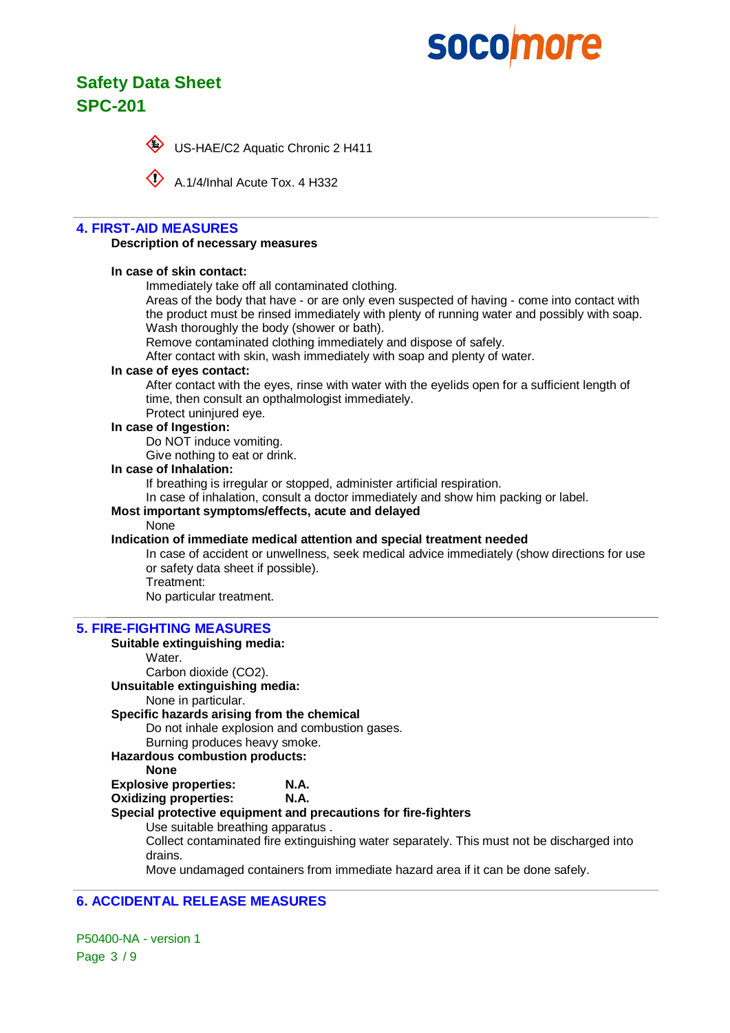# **Safety Data Sheet SPC-201**



US-HAE/C2 Aquatic Chronic 2 H411

A.1/4/Inhal Acute Tox. 4 H332

### **4. FIRST-AID MEASURES**

### **Description of necessary measures**

### **In case of skin contact:**

Immediately take off all contaminated clothing.

Areas of the body that have - or are only even suspected of having - come into contact with the product must be rinsed immediately with plenty of running water and possibly with soap. Wash thoroughly the body (shower or bath).

Remove contaminated clothing immediately and dispose of safely.

After contact with skin, wash immediately with soap and plenty of water.

### **In case of eyes contact:**

After contact with the eyes, rinse with water with the eyelids open for a sufficient length of time, then consult an opthalmologist immediately.

Protect uninjured eye.

### **In case of Ingestion:**

Do NOT induce vomiting.

Give nothing to eat or drink.

### **In case of Inhalation:**

If breathing is irregular or stopped, administer artificial respiration.

In case of inhalation, consult a doctor immediately and show him packing or label.

### **Most important symptoms/effects, acute and delayed**

### None

### **Indication of immediate medical attention and special treatment needed**

In case of accident or unwellness, seek medical advice immediately (show directions for use or safety data sheet if possible). Treatment:

No particular treatment.

### **5. FIRE-FIGHTING MEASURES**

### **Suitable extinguishing media:**

Water. Carbon dioxide (CO2). **Unsuitable extinguishing media:** None in particular. **Specific hazards arising from the chemical** Do not inhale explosion and combustion gases. Burning produces heavy smoke. **Hazardous combustion products: None Explosive properties: N.A. Oxidizing properties: N.A. Special protective equipment and precautions for fire-fighters** Use suitable breathing apparatus . Collect contaminated fire extinguishing water separately. This must not be discharged into drains. Move undamaged containers from immediate hazard area if it can be done safely.

### **6. ACCIDENTAL RELEASE MEASURES**

P50400-NA - version 1 Page 3 / 9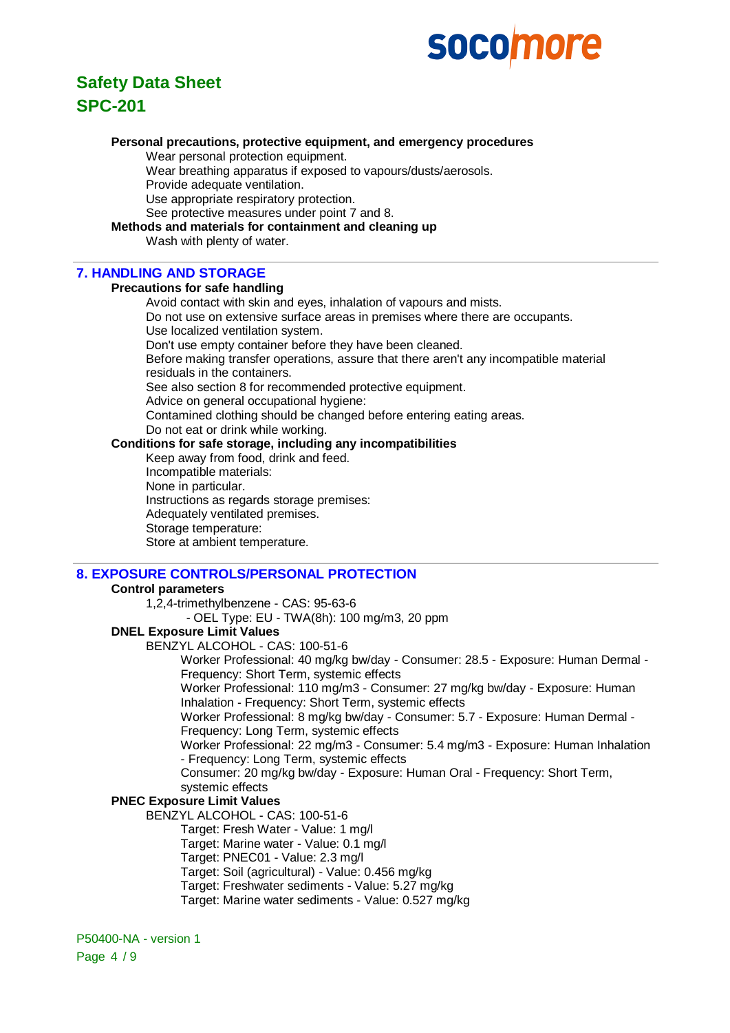

# **Personal precautions, protective equipment, and emergency procedures**

Wear personal protection equipment.

Wear breathing apparatus if exposed to vapours/dusts/aerosols.

Provide adequate ventilation.

Use appropriate respiratory protection.

See protective measures under point 7 and 8.

### **Methods and materials for containment and cleaning up**

Wash with plenty of water.

### **7. HANDLING AND STORAGE**

### **Precautions for safe handling**

Avoid contact with skin and eyes, inhalation of vapours and mists. Do not use on extensive surface areas in premises where there are occupants. Use localized ventilation system. Don't use empty container before they have been cleaned. Before making transfer operations, assure that there aren't any incompatible material residuals in the containers. See also section 8 for recommended protective equipment. Advice on general occupational hygiene: Contamined clothing should be changed before entering eating areas. Do not eat or drink while working. **Conditions for safe storage, including any incompatibilities**

Keep away from food, drink and feed.

Incompatible materials:

None in particular.

Instructions as regards storage premises:

Adequately ventilated premises.

Storage temperature: Store at ambient temperature.

# **8. EXPOSURE CONTROLS/PERSONAL PROTECTION**

### **Control parameters**

1,2,4-trimethylbenzene - CAS: 95-63-6

- OEL Type: EU - TWA(8h): 100 mg/m3, 20 ppm

### **DNEL Exposure Limit Values**

BENZYL ALCOHOL - CAS: 100-51-6

Worker Professional: 40 mg/kg bw/day - Consumer: 28.5 - Exposure: Human Dermal - Frequency: Short Term, systemic effects

Worker Professional: 110 mg/m3 - Consumer: 27 mg/kg bw/day - Exposure: Human Inhalation - Frequency: Short Term, systemic effects

Worker Professional: 8 mg/kg bw/day - Consumer: 5.7 - Exposure: Human Dermal - Frequency: Long Term, systemic effects

Worker Professional: 22 mg/m3 - Consumer: 5.4 mg/m3 - Exposure: Human Inhalation - Frequency: Long Term, systemic effects

Consumer: 20 mg/kg bw/day - Exposure: Human Oral - Frequency: Short Term, systemic effects

### **PNEC Exposure Limit Values**

BENZYL ALCOHOL - CAS: 100-51-6

Target: Fresh Water - Value: 1 mg/l

- Target: Marine water Value: 0.1 mg/l
- Target: PNEC01 Value: 2.3 mg/l
- Target: Soil (agricultural) Value: 0.456 mg/kg
- Target: Freshwater sediments Value: 5.27 mg/kg
- Target: Marine water sediments Value: 0.527 mg/kg

P50400-NA - version 1 Page 4 / 9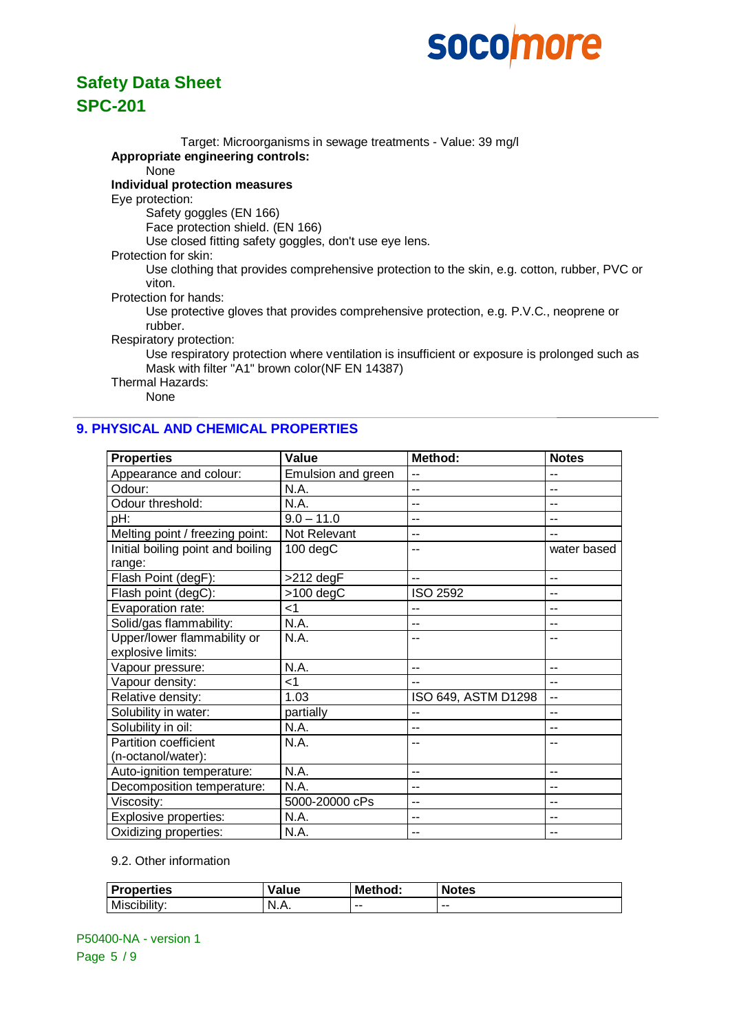

Target: Microorganisms in sewage treatments - Value: 39 mg/l **Appropriate engineering controls:** None **Individual protection measures** Eye protection: Safety goggles (EN 166) Face protection shield. (EN 166) Use closed fitting safety goggles, don't use eye lens. Protection for skin: Use clothing that provides comprehensive protection to the skin, e.g. cotton, rubber, PVC or viton. Protection for hands: Use protective gloves that provides comprehensive protection, e.g. P.V.C., neoprene or rubber. Respiratory protection:

Use respiratory protection where ventilation is insufficient or exposure is prolonged such as Mask with filter "A1" brown color(NF EN 14387)

Thermal Hazards:

None

### **9. PHYSICAL AND CHEMICAL PROPERTIES**

| <b>Properties</b>                 | Value              | Method:             | <b>Notes</b> |
|-----------------------------------|--------------------|---------------------|--------------|
| Appearance and colour:            | Emulsion and green | --                  | --           |
| Odour:                            | N.A.               | $\overline{a}$      | --           |
| Odour threshold:                  | N.A.               | $\overline{a}$      | $-$          |
| pH:                               | $9.0 - 11.0$       | --                  | --           |
| Melting point / freezing point:   | Not Relevant       | --                  |              |
| Initial boiling point and boiling | 100 degC           |                     | water based  |
| range:                            |                    |                     |              |
| Flash Point (degF):               | $>212$ degF        | --                  | --           |
| Flash point (degC):               | $>100$ degC        | <b>ISO 2592</b>     | --           |
| Evaporation rate:                 | $\leq$ 1           | --                  | --           |
| Solid/gas flammability:           | N.A.               | --                  | --           |
| Upper/lower flammability or       | N.A.               |                     |              |
| explosive limits:                 |                    |                     |              |
| Vapour pressure:                  | N.A.               | --                  | --           |
| Vapour density:                   | ا>                 | --                  | --           |
| Relative density:                 | 1.03               | ISO 649, ASTM D1298 | --           |
| Solubility in water:              | partially          | --                  | --           |
| Solubility in oil:                | N.A.               | --                  | --           |
| Partition coefficient             | N.A.               |                     |              |
| (n-octanol/water):                |                    |                     |              |
| Auto-ignition temperature:        | N.A.               | --                  | --           |
| Decomposition temperature:        | N.A.               | --                  | --           |
| Viscosity:                        | 5000-20000 cPs     | --                  | --           |
| Explosive properties:             | N.A.               | --                  | --           |
| Oxidizing properties:             | N.A.               | --                  |              |

### 9.2. Other information

| <b>Properties</b> | Value | <b>Method:</b> | <b>Notes</b> |
|-------------------|-------|----------------|--------------|
| Miscibility:      | N.A.  | --             | $- -$        |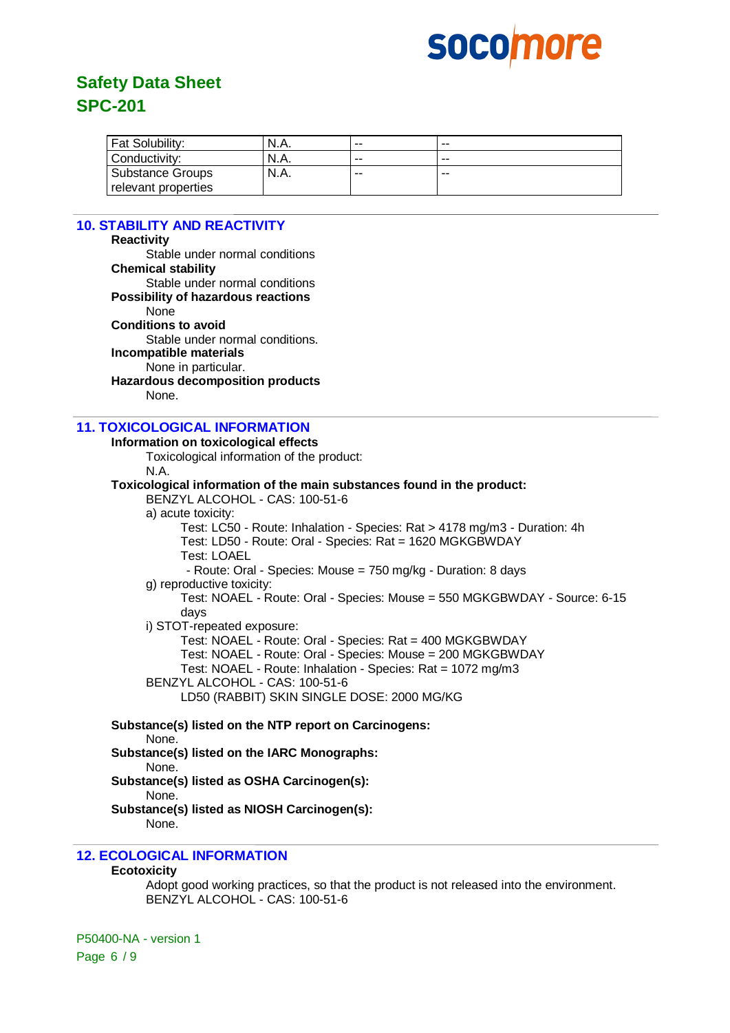

| Fat Solubility:         | N.A. | -- | $- -$ |
|-------------------------|------|----|-------|
| Conductivity:           | N.A. | -- | $- -$ |
| <b>Substance Groups</b> | N.A. | -- | $- -$ |
| relevant properties     |      |    |       |

## **10. STABILITY AND REACTIVITY**

| IV. STADILIT I AND REACTIVITT                                                                          |  |  |  |  |
|--------------------------------------------------------------------------------------------------------|--|--|--|--|
| <b>Reactivity</b>                                                                                      |  |  |  |  |
| Stable under normal conditions                                                                         |  |  |  |  |
| <b>Chemical stability</b>                                                                              |  |  |  |  |
| Stable under normal conditions                                                                         |  |  |  |  |
| <b>Possibility of hazardous reactions</b>                                                              |  |  |  |  |
| None                                                                                                   |  |  |  |  |
| <b>Conditions to avoid</b>                                                                             |  |  |  |  |
| Stable under normal conditions.                                                                        |  |  |  |  |
| Incompatible materials                                                                                 |  |  |  |  |
| None in particular.                                                                                    |  |  |  |  |
| <b>Hazardous decomposition products</b>                                                                |  |  |  |  |
| None.                                                                                                  |  |  |  |  |
| <b>11. TOXICOLOGICAL INFORMATION</b>                                                                   |  |  |  |  |
| Information on toxicological effects                                                                   |  |  |  |  |
| Toxicological information of the product:                                                              |  |  |  |  |
| N.A.                                                                                                   |  |  |  |  |
| Toxicological information of the main substances found in the product:                                 |  |  |  |  |
| BENZYL ALCOHOL - CAS: 100-51-6                                                                         |  |  |  |  |
| a) acute toxicity:                                                                                     |  |  |  |  |
| Test: LC50 - Route: Inhalation - Species: Rat > 4178 mg/m3 - Duration: 4h                              |  |  |  |  |
| Test: LD50 - Route: Oral - Species: Rat = 1620 MGKGBWDAY                                               |  |  |  |  |
| <b>Test: LOAEL</b>                                                                                     |  |  |  |  |
| - Route: Oral - Species: Mouse = 750 mg/kg - Duration: 8 days                                          |  |  |  |  |
| g) reproductive toxicity:<br>Test: NOAEL - Route: Oral - Species: Mouse = 550 MGKGBWDAY - Source: 6-15 |  |  |  |  |
| days                                                                                                   |  |  |  |  |
| i) STOT-repeated exposure:                                                                             |  |  |  |  |
| Test: NOAEL - Route: Oral - Species: Rat = 400 MGKGBWDAY                                               |  |  |  |  |
| Test: NOAEL - Route: Oral - Species: Mouse = 200 MGKGBWDAY                                             |  |  |  |  |
| Test: NOAEL - Route: Inhalation - Species: Rat = 1072 mg/m3                                            |  |  |  |  |
| BENZYL ALCOHOL - CAS: 100-51-6                                                                         |  |  |  |  |
| LD50 (RABBIT) SKIN SINGLE DOSE: 2000 MG/KG                                                             |  |  |  |  |
| Substance(s) listed on the NTP report on Carcinogens:                                                  |  |  |  |  |
| None.                                                                                                  |  |  |  |  |
| Substance(s) listed on the IARC Monographs:                                                            |  |  |  |  |
| None.                                                                                                  |  |  |  |  |
| Substance(s) listed as OSHA Carcinogen(s):                                                             |  |  |  |  |
| None.                                                                                                  |  |  |  |  |
| Substance(s) listed as NIOSH Carcinogen(s):                                                            |  |  |  |  |

None.

### **12. ECOLOGICAL INFORMATION**

### **Ecotoxicity**

Adopt good working practices, so that the product is not released into the environment. BENZYL ALCOHOL - CAS: 100-51-6

P50400-NA - version 1 Page 6 / 9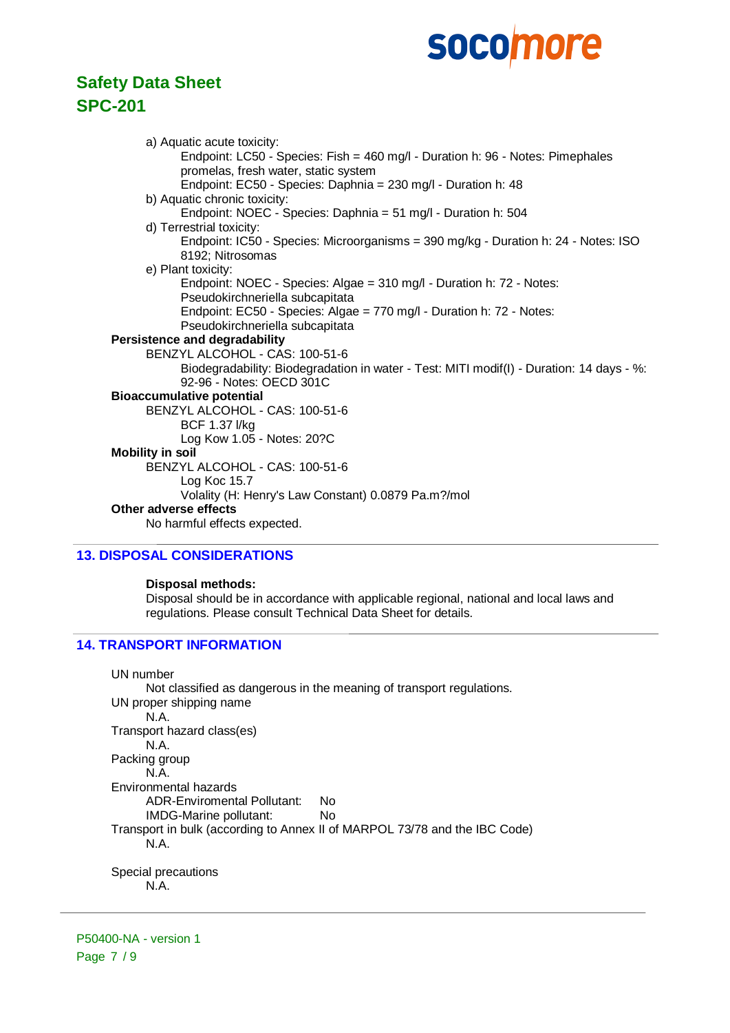# **Safety Data Sheet SPC-201**

a) Aquatic acute toxicity: Endpoint: LC50 - Species: Fish = 460 mg/l - Duration h: 96 - Notes: Pimephales promelas, fresh water, static system Endpoint: EC50 - Species: Daphnia = 230 mg/l - Duration h: 48 b) Aquatic chronic toxicity: Endpoint: NOEC - Species: Daphnia = 51 mg/l - Duration h: 504 d) Terrestrial toxicity: Endpoint: IC50 - Species: Microorganisms = 390 mg/kg - Duration h: 24 - Notes: ISO 8192; Nitrosomas e) Plant toxicity: Endpoint: NOEC - Species: Algae = 310 mg/l - Duration h: 72 - Notes: Pseudokirchneriella subcapitata Endpoint: EC50 - Species: Algae = 770 mg/l - Duration h: 72 - Notes: Pseudokirchneriella subcapitata **Persistence and degradability** BENZYL ALCOHOL - CAS: 100-51-6 Biodegradability: Biodegradation in water - Test: MITI modif(I) - Duration: 14 days - %: 92-96 - Notes: OECD 301C **Bioaccumulative potential** BENZYL ALCOHOL - CAS: 100-51-6 BCF 1.37 l/kg Log Kow 1.05 - Notes: 20?C **Mobility in soil** BENZYL ALCOHOL - CAS: 100-51-6 Log Koc 15.7 Volality (H: Henry's Law Constant) 0.0879 Pa.m?/mol **Other adverse effects** No harmful effects expected.

### **13. DISPOSAL CONSIDERATIONS**

### **Disposal methods:**

Disposal should be in accordance with applicable regional, national and local laws and regulations. Please consult Technical Data Sheet for details.

### **14. TRANSPORT INFORMATION**

UN number Not classified as dangerous in the meaning of transport regulations. UN proper shipping name N.A. Transport hazard class(es) N.A. Packing group N.A. Environmental hazards ADR-Enviromental Pollutant: No IMDG-Marine pollutant: No Transport in bulk (according to Annex II of MARPOL 73/78 and the IBC Code) N.A. Special precautions N.A.

P50400-NA - version 1 Page 7 / 9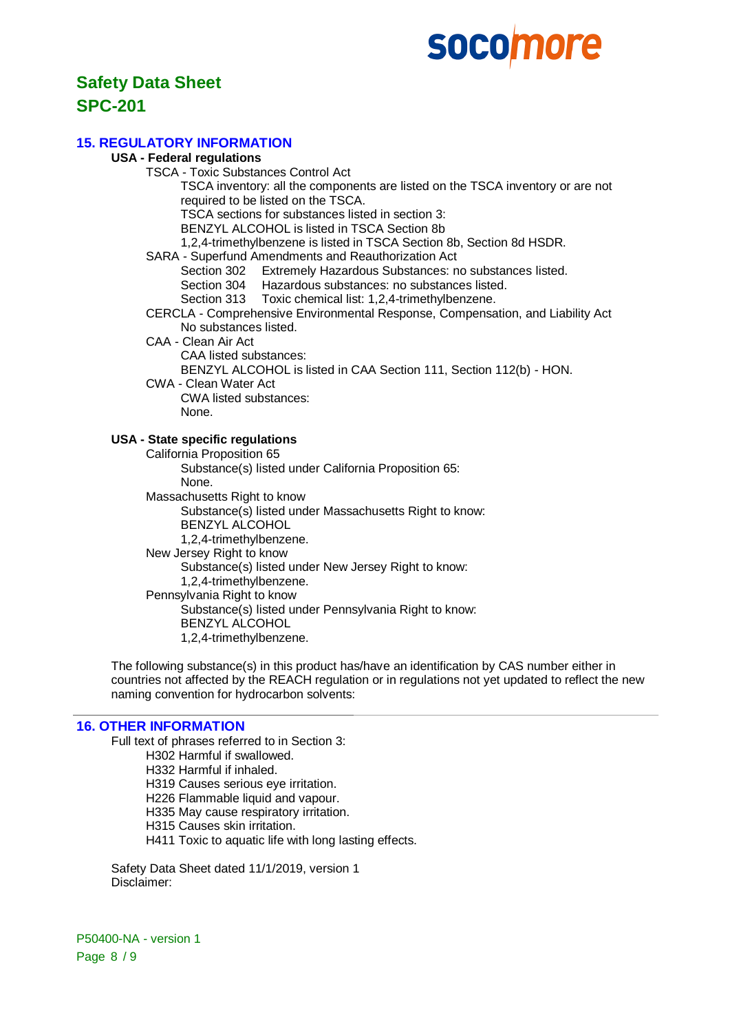# **Safety Data Sheet**

## **SPC-201**

### **15. REGULATORY INFORMATION**

### **USA - Federal regulations**

TSCA - Toxic Substances Control Act TSCA inventory: all the components are listed on the TSCA inventory or are not required to be listed on the TSCA. TSCA sections for substances listed in section 3:

BENZYL ALCOHOL is listed in TSCA Section 8b

1,2,4-trimethylbenzene is listed in TSCA Section 8b, Section 8d HSDR.

SARA - Superfund Amendments and Reauthorization Act

Section 302 Extremely Hazardous Substances: no substances listed.

Section 304 Hazardous substances: no substances listed.

Section 313 Toxic chemical list: 1,2,4-trimethylbenzene.

CERCLA - Comprehensive Environmental Response, Compensation, and Liability Act No substances listed.

CAA - Clean Air Act

CAA listed substances:

BENZYL ALCOHOL is listed in CAA Section 111, Section 112(b) - HON.

CWA - Clean Water Act CWA listed substances:

None.

### **USA - State specific regulations**

California Proposition 65 Substance(s) listed under California Proposition 65: None. Massachusetts Right to know Substance(s) listed under Massachusetts Right to know: BENZYL ALCOHOL 1,2,4-trimethylbenzene. New Jersey Right to know Substance(s) listed under New Jersey Right to know: 1,2,4-trimethylbenzene. Pennsylvania Right to know Substance(s) listed under Pennsylvania Right to know: BENZYL ALCOHOL 1,2,4-trimethylbenzene.

The following substance(s) in this product has/have an identification by CAS number either in countries not affected by the REACH regulation or in regulations not yet updated to reflect the new naming convention for hydrocarbon solvents:

### **16. OTHER INFORMATION**

Full text of phrases referred to in Section 3: H302 Harmful if swallowed. H332 Harmful if inhaled. H319 Causes serious eye irritation. H226 Flammable liquid and vapour. H335 May cause respiratory irritation. H315 Causes skin irritation.

H411 Toxic to aquatic life with long lasting effects.

Safety Data Sheet dated 11/1/2019, version 1 Disclaimer:

P50400-NA - version 1 Page 8 / 9